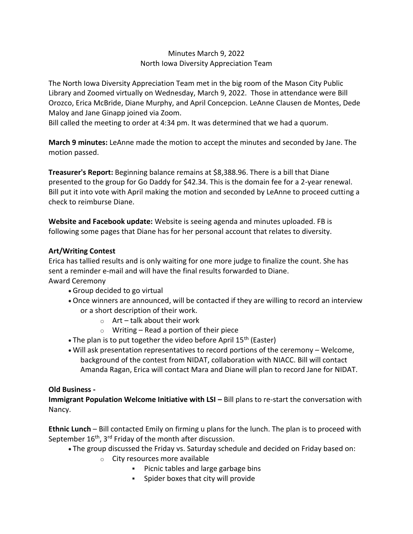## Minutes March 9, 2022 North Iowa Diversity Appreciation Team

The North Iowa Diversity Appreciation Team met in the big room of the Mason City Public Library and Zoomed virtually on Wednesday, March 9, 2022. Those in attendance were Bill Orozco, Erica McBride, Diane Murphy, and April Concepcion. LeAnne Clausen de Montes, Dede Maloy and Jane Ginapp joined via Zoom.

Bill called the meeting to order at 4:34 pm. It was determined that we had a quorum.

**March 9 minutes:** LeAnne made the motion to accept the minutes and seconded by Jane. The motion passed.

**Treasurer's Report:** Beginning balance remains at \$8,388.96. There is a bill that Diane presented to the group for Go Daddy for \$42.34. This is the domain fee for a 2-year renewal. Bill put it into vote with April making the motion and seconded by LeAnne to proceed cutting a check to reimburse Diane.

**Website and Facebook update:** Website is seeing agenda and minutes uploaded. FB is following some pages that Diane has for her personal account that relates to diversity.

## **Art/Writing Contest**

Erica has tallied results and is only waiting for one more judge to finalize the count. She has sent a reminder e-mail and will have the final results forwarded to Diane.

Award Ceremony

- Group decided to go virtual
- Once winners are announced, will be contacted if they are willing to record an interview or a short description of their work.
	- $\circ$  Art talk about their work
	- $\circ$  Writing Read a portion of their piece
- The plan is to put together the video before April  $15<sup>th</sup>$  (Easter)
- Will ask presentation representatives to record portions of the ceremony Welcome, background of the contest from NIDAT, collaboration with NIACC. Bill will contact Amanda Ragan, Erica will contact Mara and Diane will plan to record Jane for NIDAT.

## **Old Business -**

**Immigrant Population Welcome Initiative with LSI – Bill plans to re-start the conversation with** Nancy.

**Ethnic Lunch** – Bill contacted Emily on firming u plans for the lunch. The plan is to proceed with September  $16<sup>th</sup>$ ,  $3<sup>rd</sup>$  Friday of the month after discussion.

- The group discussed the Friday vs. Saturday schedule and decided on Friday based on:
	- o City resources more available
		- Picnic tables and large garbage bins
		- Spider boxes that city will provide